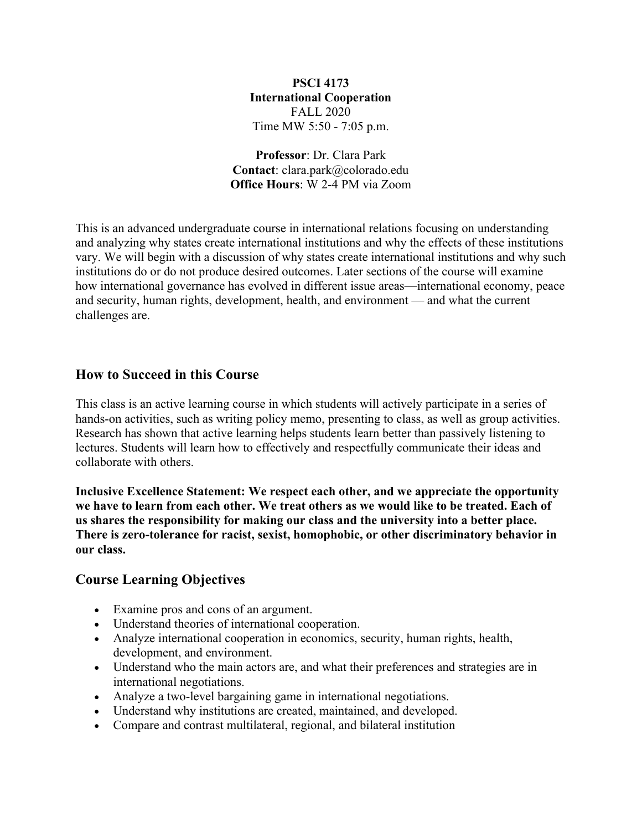# **PSCI 4173 International Cooperation** FALL 2020 Time MW 5:50 - 7:05 p.m.

**Professor**: Dr. Clara Park **Contact**: clara.park@colorado.edu **Office Hours**: W 2-4 PM via Zoom

This is an advanced undergraduate course in international relations focusing on understanding and analyzing why states create international institutions and why the effects of these institutions vary. We will begin with a discussion of why states create international institutions and why such institutions do or do not produce desired outcomes. Later sections of the course will examine how international governance has evolved in different issue areas—international economy, peace and security, human rights, development, health, and environment — and what the current challenges are.

# **How to Succeed in this Course**

This class is an active learning course in which students will actively participate in a series of hands-on activities, such as writing policy memo, presenting to class, as well as group activities. Research has shown that active learning helps students learn better than passively listening to lectures. Students will learn how to effectively and respectfully communicate their ideas and collaborate with others.

**Inclusive Excellence Statement: We respect each other, and we appreciate the opportunity we have to learn from each other. We treat others as we would like to be treated. Each of us shares the responsibility for making our class and the university into a better place. There is zero-tolerance for racist, sexist, homophobic, or other discriminatory behavior in our class.**

# **Course Learning Objectives**

- Examine pros and cons of an argument.
- Understand theories of international cooperation.
- Analyze international cooperation in economics, security, human rights, health, development, and environment.
- Understand who the main actors are, and what their preferences and strategies are in international negotiations.
- Analyze a two-level bargaining game in international negotiations.
- Understand why institutions are created, maintained, and developed.
- Compare and contrast multilateral, regional, and bilateral institution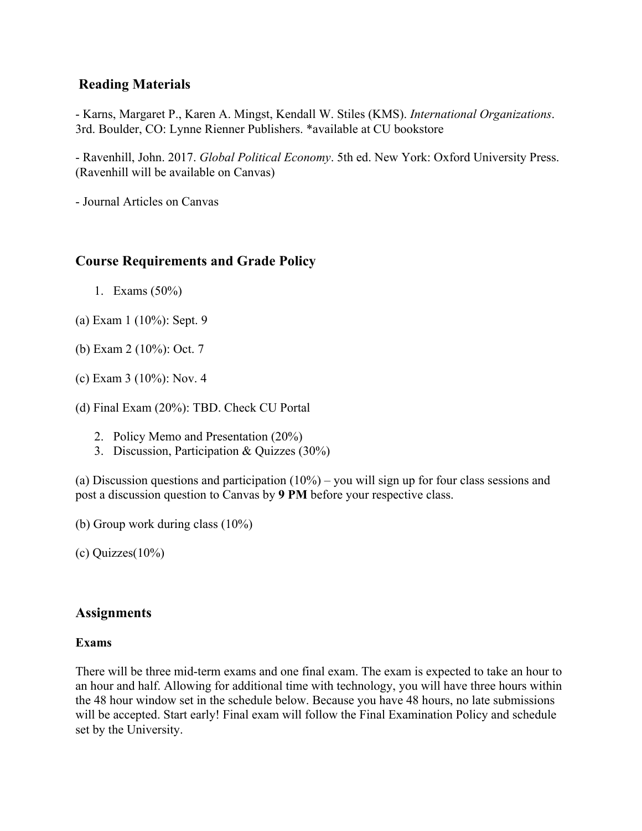# **Reading Materials**

- Karns, Margaret P., Karen A. Mingst, Kendall W. Stiles (KMS). *International Organizations*. 3rd. Boulder, CO: Lynne Rienner Publishers. \*available at CU bookstore

- Ravenhill, John. 2017. *Global Political Economy*. 5th ed. New York: Oxford University Press. (Ravenhill will be available on Canvas)

- Journal Articles on Canvas

# **Course Requirements and Grade Policy**

- 1. Exams (50%)
- (a) Exam 1 (10%): Sept. 9
- (b) Exam 2 (10%): Oct. 7
- (c) Exam 3 (10%): Nov. 4
- (d) Final Exam (20%): TBD. Check CU Portal
	- 2. Policy Memo and Presentation (20%)
	- 3. Discussion, Participation & Quizzes (30%)

(a) Discussion questions and participation  $(10\%)$  – you will sign up for four class sessions and post a discussion question to Canvas by **9 PM** before your respective class.

- (b) Group work during class (10%)
- (c) Quizzes(10%)

# **Assignments**

# **Exams**

There will be three mid-term exams and one final exam. The exam is expected to take an hour to an hour and half. Allowing for additional time with technology, you will have three hours within the 48 hour window set in the schedule below. Because you have 48 hours, no late submissions will be accepted. Start early! Final exam will follow the Final Examination Policy and schedule set by the University.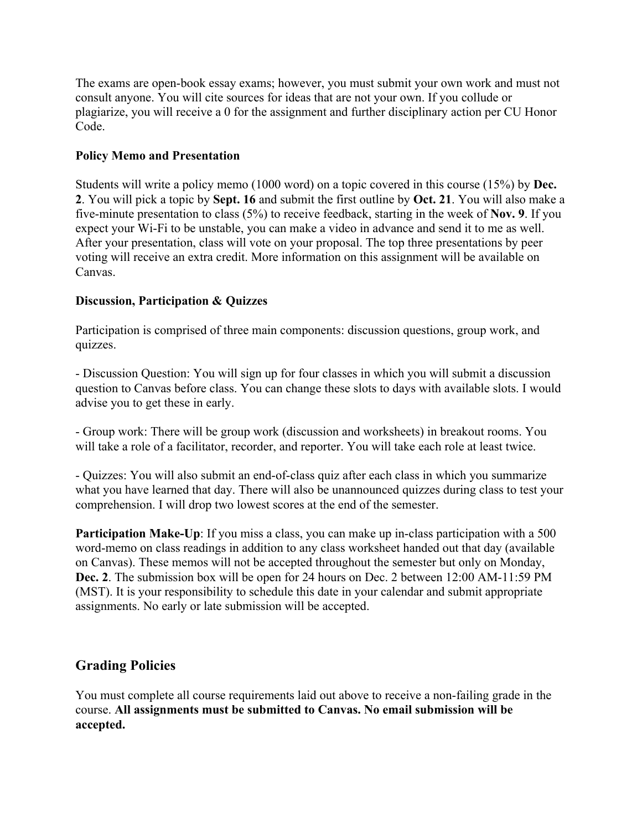The exams are open-book essay exams; however, you must submit your own work and must not consult anyone. You will cite sources for ideas that are not your own. If you collude or plagiarize, you will receive a 0 for the assignment and further disciplinary action per CU Honor Code.

# **Policy Memo and Presentation**

Students will write a policy memo (1000 word) on a topic covered in this course (15%) by **Dec. 2**. You will pick a topic by **Sept. 16** and submit the first outline by **Oct. 21**. You will also make a five-minute presentation to class (5%) to receive feedback, starting in the week of **Nov. 9**. If you expect your Wi-Fi to be unstable, you can make a video in advance and send it to me as well. After your presentation, class will vote on your proposal. The top three presentations by peer voting will receive an extra credit. More information on this assignment will be available on Canvas.

# **Discussion, Participation & Quizzes**

Participation is comprised of three main components: discussion questions, group work, and quizzes.

- Discussion Question: You will sign up for four classes in which you will submit a discussion question to Canvas before class. You can change these slots to days with available slots. I would advise you to get these in early.

- Group work: There will be group work (discussion and worksheets) in breakout rooms. You will take a role of a facilitator, recorder, and reporter. You will take each role at least twice.

- Quizzes: You will also submit an end-of-class quiz after each class in which you summarize what you have learned that day. There will also be unannounced quizzes during class to test your comprehension. I will drop two lowest scores at the end of the semester.

**Participation Make-Up:** If you miss a class, you can make up in-class participation with a 500 word-memo on class readings in addition to any class worksheet handed out that day (available on Canvas). These memos will not be accepted throughout the semester but only on Monday, **Dec. 2**. The submission box will be open for 24 hours on Dec. 2 between 12:00 AM-11:59 PM (MST). It is your responsibility to schedule this date in your calendar and submit appropriate assignments. No early or late submission will be accepted.

# **Grading Policies**

You must complete all course requirements laid out above to receive a non-failing grade in the course. **All assignments must be submitted to Canvas. No email submission will be accepted.**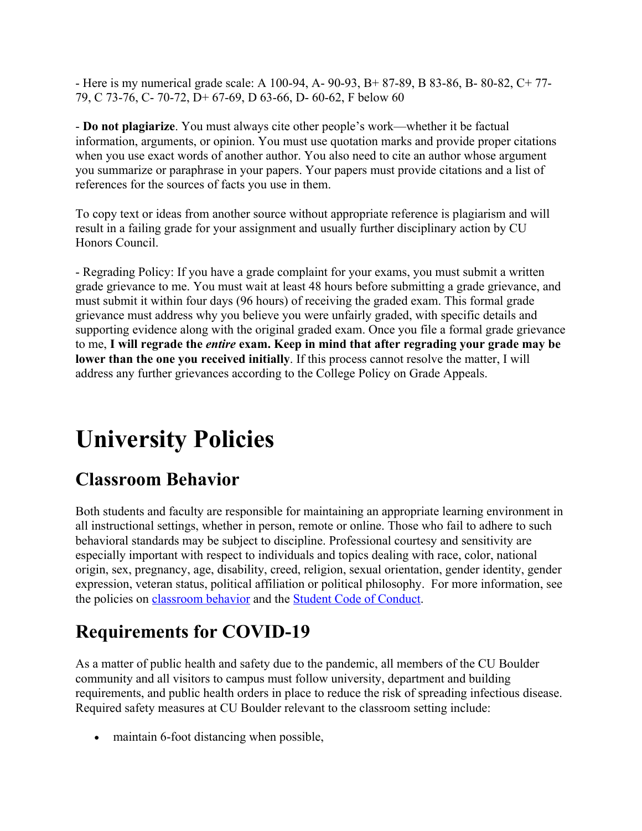- Here is my numerical grade scale: A 100-94, A- 90-93, B+ 87-89, B 83-86, B- 80-82, C+ 77- 79, C 73-76, C- 70-72, D+ 67-69, D 63-66, D- 60-62, F below 60

- **Do not plagiarize**. You must always cite other people's work—whether it be factual information, arguments, or opinion. You must use quotation marks and provide proper citations when you use exact words of another author. You also need to cite an author whose argument you summarize or paraphrase in your papers. Your papers must provide citations and a list of references for the sources of facts you use in them.

To copy text or ideas from another source without appropriate reference is plagiarism and will result in a failing grade for your assignment and usually further disciplinary action by CU Honors Council.

- Regrading Policy: If you have a grade complaint for your exams, you must submit a written grade grievance to me. You must wait at least 48 hours before submitting a grade grievance, and must submit it within four days (96 hours) of receiving the graded exam. This formal grade grievance must address why you believe you were unfairly graded, with specific details and supporting evidence along with the original graded exam. Once you file a formal grade grievance to me, **I will regrade the** *entire* **exam. Keep in mind that after regrading your grade may be lower than the one you received initially**. If this process cannot resolve the matter, I will address any further grievances according to the College Policy on Grade Appeals.

# **University Policies**

# **Classroom Behavior**

Both students and faculty are responsible for maintaining an appropriate learning environment in all instructional settings, whether in person, remote or online. Those who fail to adhere to such behavioral standards may be subject to discipline. Professional courtesy and sensitivity are especially important with respect to individuals and topics dealing with race, color, national origin, sex, pregnancy, age, disability, creed, religion, sexual orientation, gender identity, gender expression, veteran status, political affiliation or political philosophy. For more information, see the policies on classroom behavior and the Student Code of Conduct.

# **Requirements for COVID-19**

As a matter of public health and safety due to the pandemic, all members of the CU Boulder community and all visitors to campus must follow university, department and building requirements, and public health orders in place to reduce the risk of spreading infectious disease. Required safety measures at CU Boulder relevant to the classroom setting include:

• maintain 6-foot distancing when possible,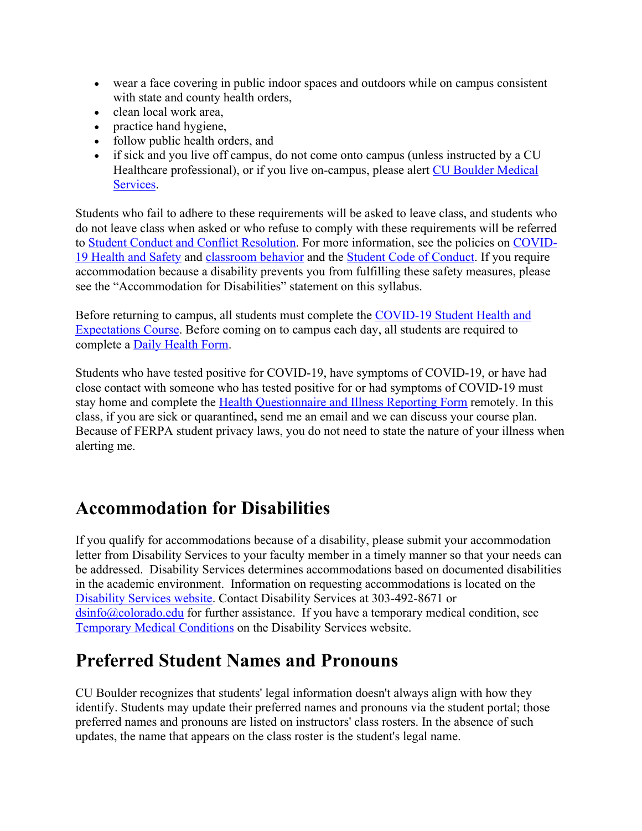- wear a face covering in public indoor spaces and outdoors while on campus consistent with state and county health orders,
- clean local work area,
- practice hand hygiene,
- follow public health orders, and
- if sick and you live off campus, do not come onto campus (unless instructed by a CU Healthcare professional), or if you live on-campus, please alert CU Boulder Medical Services.

Students who fail to adhere to these requirements will be asked to leave class, and students who do not leave class when asked or who refuse to comply with these requirements will be referred to Student Conduct and Conflict Resolution. For more information, see the policies on COVID-19 Health and Safety and classroom behavior and the Student Code of Conduct. If you require accommodation because a disability prevents you from fulfilling these safety measures, please see the "Accommodation for Disabilities" statement on this syllabus.

Before returning to campus, all students must complete the COVID-19 Student Health and Expectations Course. Before coming on to campus each day, all students are required to complete a Daily Health Form.

Students who have tested positive for COVID-19, have symptoms of COVID-19, or have had close contact with someone who has tested positive for or had symptoms of COVID-19 must stay home and complete the Health Questionnaire and Illness Reporting Form remotely. In this class, if you are sick or quarantined**,** send me an email and we can discuss your course plan. Because of FERPA student privacy laws, you do not need to state the nature of your illness when alerting me.

# **Accommodation for Disabilities**

If you qualify for accommodations because of a disability, please submit your accommodation letter from Disability Services to your faculty member in a timely manner so that your needs can be addressed. Disability Services determines accommodations based on documented disabilities in the academic environment. Information on requesting accommodations is located on the Disability Services website. Contact Disability Services at 303-492-8671 or  $\sin 6$  ( $\alpha$ ) colorado.edu for further assistance. If you have a temporary medical condition, see Temporary Medical Conditions on the Disability Services website.

# **Preferred Student Names and Pronouns**

CU Boulder recognizes that students' legal information doesn't always align with how they identify. Students may update their preferred names and pronouns via the student portal; those preferred names and pronouns are listed on instructors' class rosters. In the absence of such updates, the name that appears on the class roster is the student's legal name.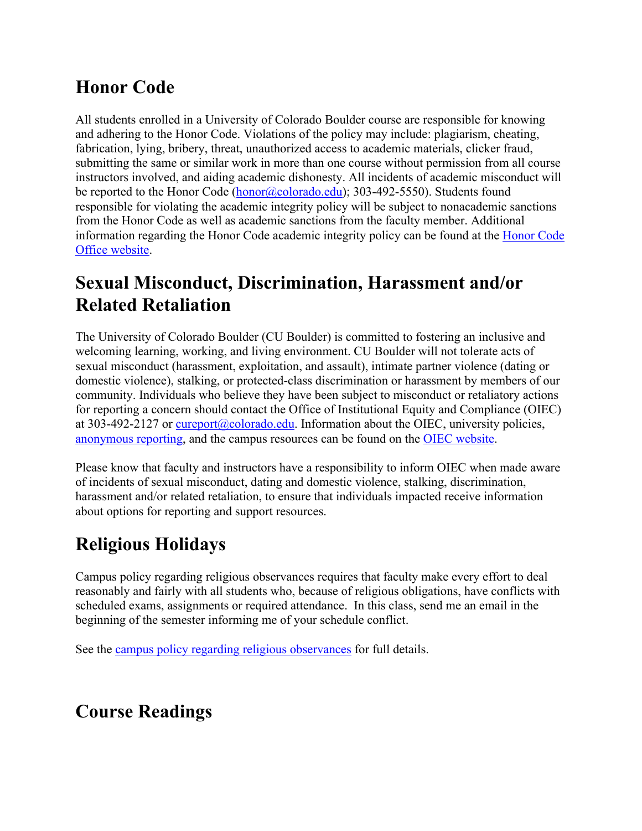# **Honor Code**

All students enrolled in a University of Colorado Boulder course are responsible for knowing and adhering to the Honor Code. Violations of the policy may include: plagiarism, cheating, fabrication, lying, bribery, threat, unauthorized access to academic materials, clicker fraud, submitting the same or similar work in more than one course without permission from all course instructors involved, and aiding academic dishonesty. All incidents of academic misconduct will be reported to the Honor Code (honor@colorado.edu); 303-492-5550). Students found responsible for violating the academic integrity policy will be subject to nonacademic sanctions from the Honor Code as well as academic sanctions from the faculty member. Additional information regarding the Honor Code academic integrity policy can be found at the Honor Code Office website.

# **Sexual Misconduct, Discrimination, Harassment and/or Related Retaliation**

The University of Colorado Boulder (CU Boulder) is committed to fostering an inclusive and welcoming learning, working, and living environment. CU Boulder will not tolerate acts of sexual misconduct (harassment, exploitation, and assault), intimate partner violence (dating or domestic violence), stalking, or protected-class discrimination or harassment by members of our community. Individuals who believe they have been subject to misconduct or retaliatory actions for reporting a concern should contact the Office of Institutional Equity and Compliance (OIEC) at 303-492-2127 or cureport@colorado.edu. Information about the OIEC, university policies, anonymous reporting, and the campus resources can be found on the OIEC website.

Please know that faculty and instructors have a responsibility to inform OIEC when made aware of incidents of sexual misconduct, dating and domestic violence, stalking, discrimination, harassment and/or related retaliation, to ensure that individuals impacted receive information about options for reporting and support resources.

# **Religious Holidays**

Campus policy regarding religious observances requires that faculty make every effort to deal reasonably and fairly with all students who, because of religious obligations, have conflicts with scheduled exams, assignments or required attendance. In this class, send me an email in the beginning of the semester informing me of your schedule conflict.

See the campus policy regarding religious observances for full details.

# **Course Readings**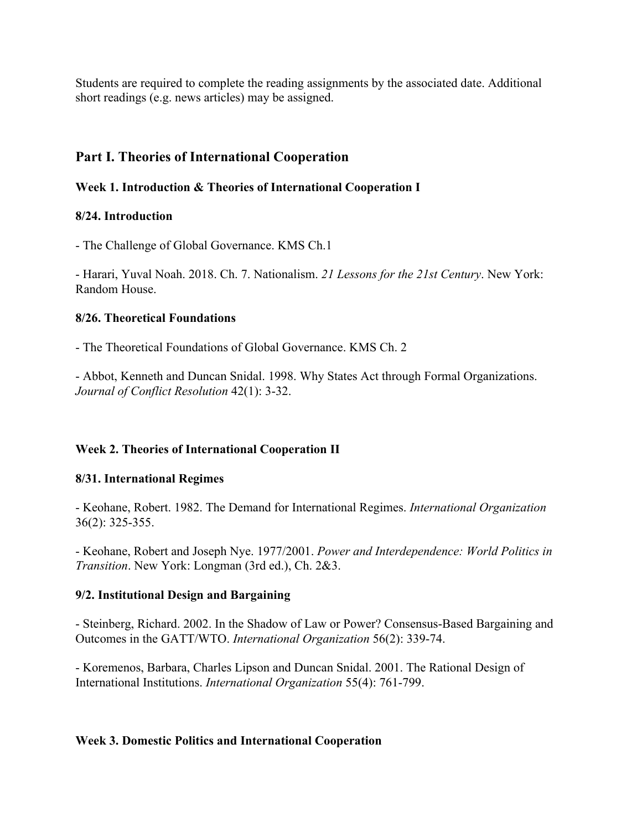Students are required to complete the reading assignments by the associated date. Additional short readings (e.g. news articles) may be assigned.

# **Part I. Theories of International Cooperation**

#### **Week 1. Introduction & Theories of International Cooperation I**

#### **8/24. Introduction**

- The Challenge of Global Governance. KMS Ch.1

- Harari, Yuval Noah. 2018. Ch. 7. Nationalism. *21 Lessons for the 21st Century*. New York: Random House.

#### **8/26. Theoretical Foundations**

- The Theoretical Foundations of Global Governance. KMS Ch. 2

- Abbot, Kenneth and Duncan Snidal. 1998. Why States Act through Formal Organizations. *Journal of Conflict Resolution* 42(1): 3-32.

# **Week 2. Theories of International Cooperation II**

#### **8/31. International Regimes**

- Keohane, Robert. 1982. The Demand for International Regimes. *International Organization*  36(2): 325-355.

- Keohane, Robert and Joseph Nye. 1977/2001. *Power and Interdependence: World Politics in Transition*. New York: Longman (3rd ed.), Ch. 2&3.

# **9/2. Institutional Design and Bargaining**

- Steinberg, Richard. 2002. In the Shadow of Law or Power? Consensus-Based Bargaining and Outcomes in the GATT/WTO. *International Organization* 56(2): 339-74.

- Koremenos, Barbara, Charles Lipson and Duncan Snidal. 2001. The Rational Design of International Institutions. *International Organization* 55(4): 761-799.

#### **Week 3. Domestic Politics and International Cooperation**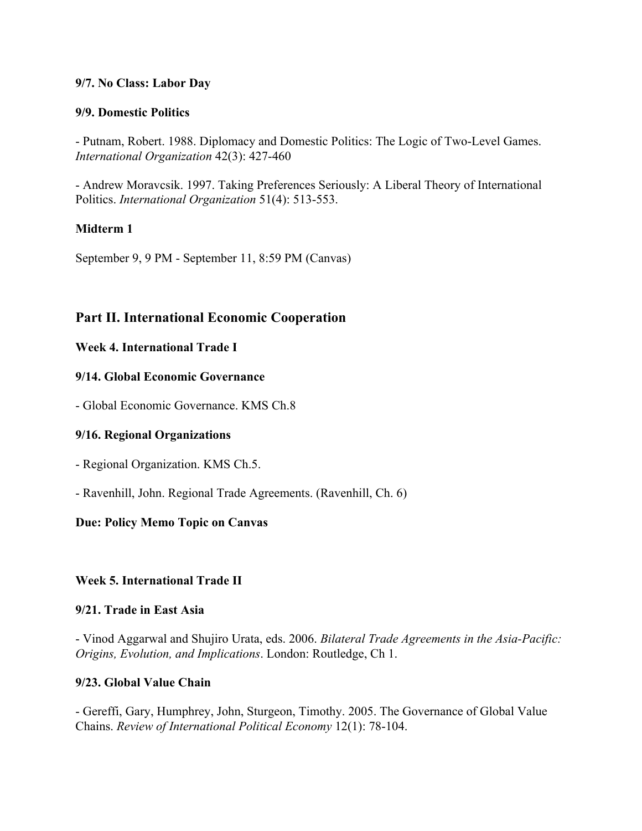### **9/7. No Class: Labor Day**

#### **9/9. Domestic Politics**

- Putnam, Robert. 1988. Diplomacy and Domestic Politics: The Logic of Two-Level Games. *International Organization* 42(3): 427-460

- Andrew Moravcsik. 1997. Taking Preferences Seriously: A Liberal Theory of International Politics. *International Organization* 51(4): 513-553.

# **Midterm 1**

September 9, 9 PM - September 11, 8:59 PM (Canvas)

# **Part II. International Economic Cooperation**

#### **Week 4. International Trade I**

#### **9/14. Global Economic Governance**

- Global Economic Governance. KMS Ch.8

#### **9/16. Regional Organizations**

- Regional Organization. KMS Ch.5.

- Ravenhill, John. Regional Trade Agreements. (Ravenhill, Ch. 6)

# **Due: Policy Memo Topic on Canvas**

# **Week 5. International Trade II**

#### **9/21. Trade in East Asia**

- Vinod Aggarwal and Shujiro Urata, eds. 2006. *Bilateral Trade Agreements in the Asia-Pacific: Origins, Evolution, and Implications*. London: Routledge, Ch 1.

#### **9/23. Global Value Chain**

- Gereffi, Gary, Humphrey, John, Sturgeon, Timothy. 2005. The Governance of Global Value Chains. *Review of International Political Economy* 12(1): 78-104.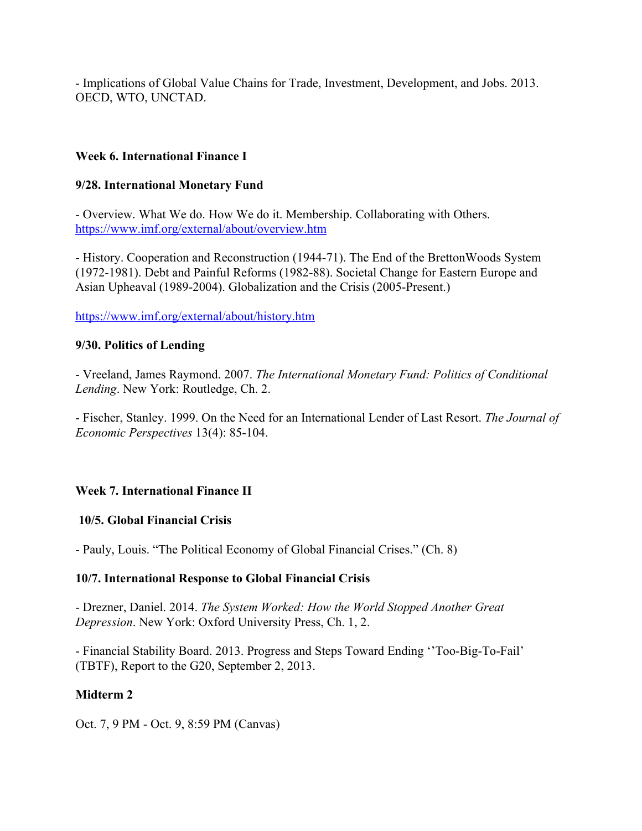- Implications of Global Value Chains for Trade, Investment, Development, and Jobs. 2013. OECD, WTO, UNCTAD.

### **Week 6. International Finance I**

#### **9/28. International Monetary Fund**

- Overview. What We do. How We do it. Membership. Collaborating with Others. https://www.imf.org/external/about/overview.htm

- History. Cooperation and Reconstruction (1944-71). The End of the BrettonWoods System (1972-1981). Debt and Painful Reforms (1982-88). Societal Change for Eastern Europe and Asian Upheaval (1989-2004). Globalization and the Crisis (2005-Present.)

https://www.imf.org/external/about/history.htm

#### **9/30. Politics of Lending**

- Vreeland, James Raymond. 2007. *The International Monetary Fund: Politics of Conditional Lending*. New York: Routledge, Ch. 2.

- Fischer, Stanley. 1999. On the Need for an International Lender of Last Resort. *The Journal of Economic Perspectives* 13(4): 85-104.

# **Week 7. International Finance II**

#### **10/5. Global Financial Crisis**

- Pauly, Louis. "The Political Economy of Global Financial Crises." (Ch. 8)

#### **10/7. International Response to Global Financial Crisis**

- Drezner, Daniel. 2014. *The System Worked: How the World Stopped Another Great Depression*. New York: Oxford University Press, Ch. 1, 2.

- Financial Stability Board. 2013. Progress and Steps Toward Ending ''Too-Big-To-Fail' (TBTF), Report to the G20, September 2, 2013.

# **Midterm 2**

Oct. 7, 9 PM - Oct. 9, 8:59 PM (Canvas)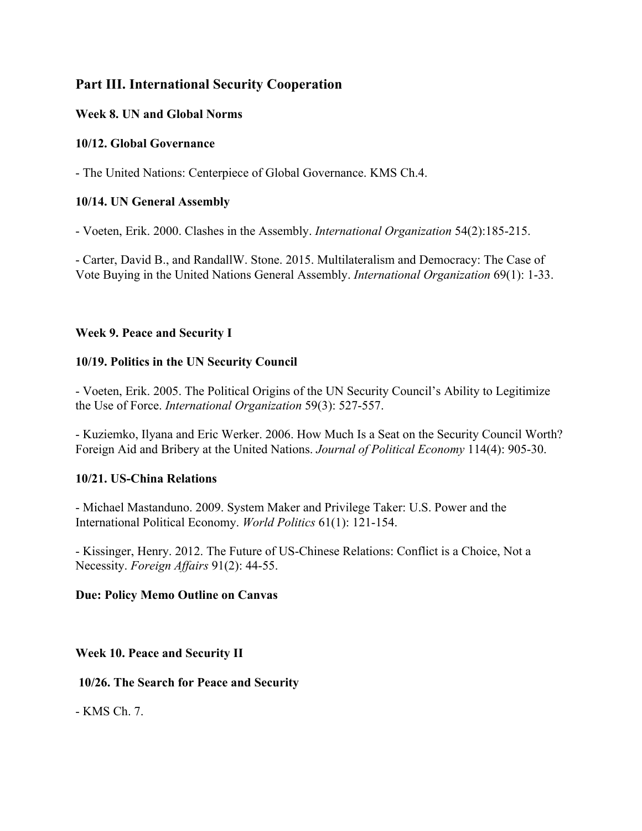# **Part III. International Security Cooperation**

# **Week 8. UN and Global Norms**

# **10/12. Global Governance**

- The United Nations: Centerpiece of Global Governance. KMS Ch.4.

# **10/14. UN General Assembly**

- Voeten, Erik. 2000. Clashes in the Assembly. *International Organization* 54(2):185-215.

- Carter, David B., and RandallW. Stone. 2015. Multilateralism and Democracy: The Case of Vote Buying in the United Nations General Assembly. *International Organization* 69(1): 1-33.

# **Week 9. Peace and Security I**

# **10/19. Politics in the UN Security Council**

- Voeten, Erik. 2005. The Political Origins of the UN Security Council's Ability to Legitimize the Use of Force. *International Organization* 59(3): 527-557.

- Kuziemko, Ilyana and Eric Werker. 2006. How Much Is a Seat on the Security Council Worth? Foreign Aid and Bribery at the United Nations. *Journal of Political Economy* 114(4): 905-30.

# **10/21. US-China Relations**

- Michael Mastanduno. 2009. System Maker and Privilege Taker: U.S. Power and the International Political Economy. *World Politics* 61(1): 121-154.

- Kissinger, Henry. 2012. The Future of US-Chinese Relations: Conflict is a Choice, Not a Necessity. *Foreign Affairs* 91(2): 44-55.

# **Due: Policy Memo Outline on Canvas**

# **Week 10. Peace and Security II**

**10/26. The Search for Peace and Security**

- KMS Ch. 7.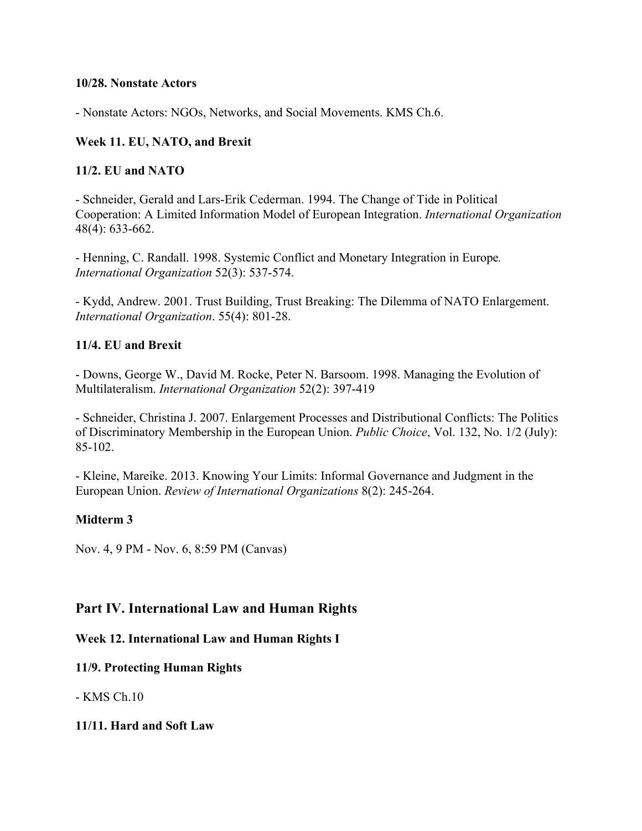#### **10/28. Nonstate Actors**

- Nonstate Actors: NGOs, Networks, and Social Movements. KMS Ch.6.

### **Week 11. EU, NATO, and Brexit**

#### **11/2. EU and NATO**

- Schneider, Gerald and Lars-Erik Cederman. 1994. The Change of Tide in Political Cooperation: A Limited Information Model of European Integration. *International Organization* 48(4): 633-662.

- Henning, C. Randall. 1998. Systemic Conflict and Monetary Integration in Europe*. International Organization* 52(3): 537-574.

- Kydd, Andrew. 2001. Trust Building, Trust Breaking: The Dilemma of NATO Enlargement. *International Organization*. 55(4): 801-28.

#### **11/4. EU and Brexit**

- Downs, George W., David M. Rocke, Peter N. Barsoom. 1998. Managing the Evolution of Multilateralism. *International Organization* 52(2): 397-419

- Schneider, Christina J. 2007. Enlargement Processes and Distributional Conflicts: The Politics of Discriminatory Membership in the European Union. *Public Choice*, Vol. 132, No. 1/2 (July): 85-102.

- Kleine, Mareike. 2013. Knowing Your Limits: Informal Governance and Judgment in the European Union. *Review of International Organizations* 8(2): 245-264.

# **Midterm 3**

Nov. 4, 9 PM - Nov. 6, 8:59 PM (Canvas)

# **Part IV. International Law and Human Rights**

#### **Week 12. International Law and Human Rights I**

#### **11/9. Protecting Human Rights**

- KMS Ch.10

#### **11/11. Hard and Soft Law**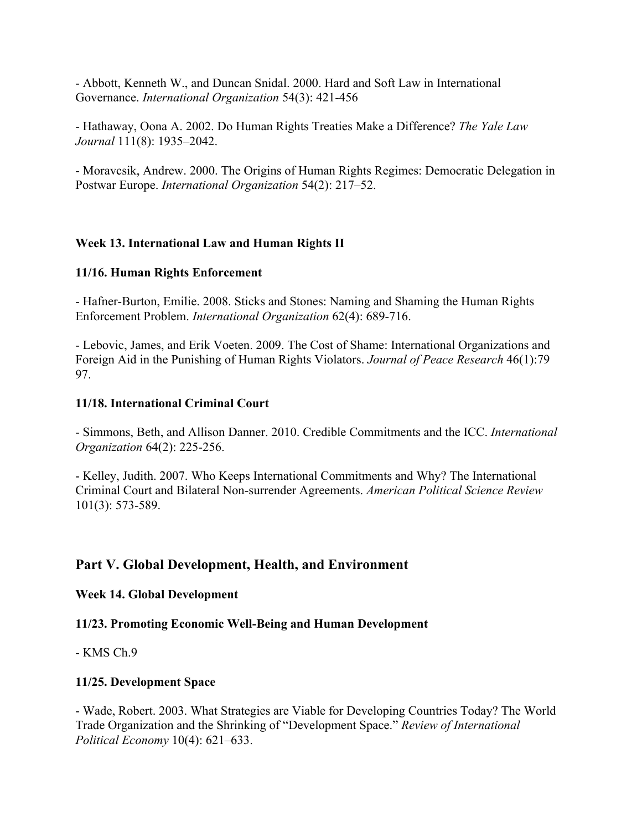- Abbott, Kenneth W., and Duncan Snidal. 2000. Hard and Soft Law in International Governance. *International Organization* 54(3): 421-456

- Hathaway, Oona A. 2002. Do Human Rights Treaties Make a Difference? *The Yale Law Journal* 111(8): 1935–2042.

- Moravcsik, Andrew. 2000. The Origins of Human Rights Regimes: Democratic Delegation in Postwar Europe. *International Organization* 54(2): 217–52.

#### **Week 13. International Law and Human Rights II**

#### **11/16. Human Rights Enforcement**

- Hafner-Burton, Emilie. 2008. Sticks and Stones: Naming and Shaming the Human Rights Enforcement Problem. *International Organization* 62(4): 689-716.

- Lebovic, James, and Erik Voeten. 2009. The Cost of Shame: International Organizations and Foreign Aid in the Punishing of Human Rights Violators. *Journal of Peace Research* 46(1):79 97.

#### **11/18. International Criminal Court**

- Simmons, Beth, and Allison Danner. 2010. Credible Commitments and the ICC. *International Organization* 64(2): 225-256.

- Kelley, Judith. 2007. Who Keeps International Commitments and Why? The International Criminal Court and Bilateral Non-surrender Agreements. *American Political Science Review*  101(3): 573-589.

# **Part V. Global Development, Health, and Environment**

#### **Week 14. Global Development**

# **11/23. Promoting Economic Well-Being and Human Development**

- KMS Ch.9

# **11/25. Development Space**

- Wade, Robert. 2003. What Strategies are Viable for Developing Countries Today? The World Trade Organization and the Shrinking of "Development Space." *Review of International Political Economy* 10(4): 621–633.